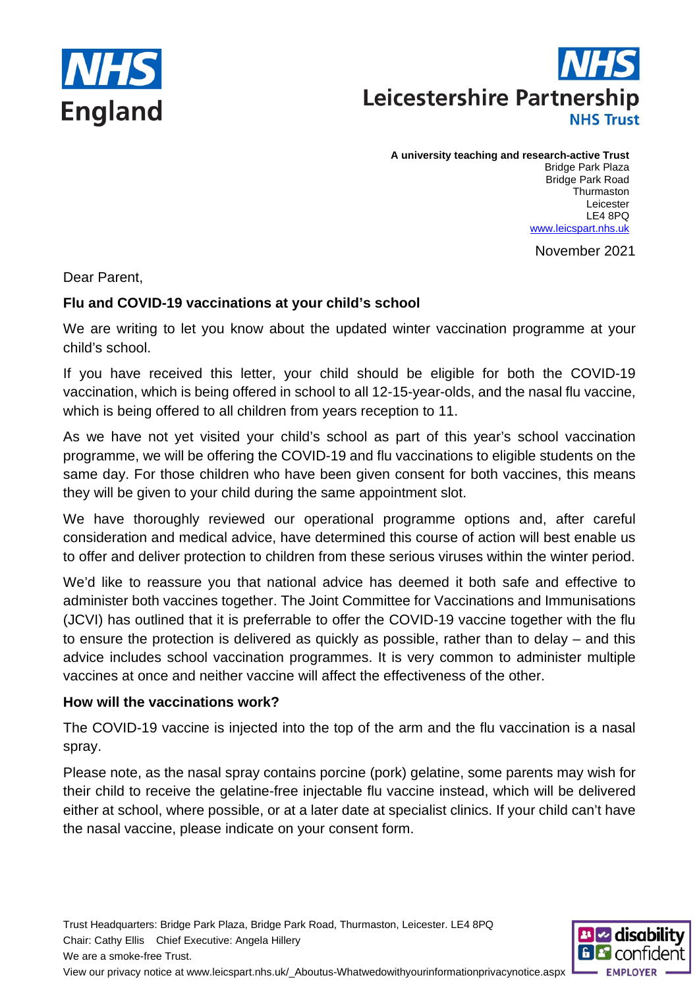



**A university teaching and research-active Trust** Bridge Park Plaza Bridge Park Road **Thurmaston** 

Leicester LE4 8PQ [www.leicspart.nhs.uk](http://www.leicspart.nhs.uk/)

November 2021

Dear Parent,

# **Flu and COVID-19 vaccinations at your child's school**

We are writing to let you know about the updated winter vaccination programme at your child's school.

If you have received this letter, your child should be eligible for both the COVID-19 vaccination, which is being offered in school to all 12-15-year-olds, and the nasal flu vaccine, which is being offered to all children from years reception to 11.

As we have not yet visited your child's school as part of this year's school vaccination programme, we will be offering the COVID-19 and flu vaccinations to eligible students on the same day. For those children who have been given consent for both vaccines, this means they will be given to your child during the same appointment slot.

We have thoroughly reviewed our operational programme options and, after careful consideration and medical advice, have determined this course of action will best enable us to offer and deliver protection to children from these serious viruses within the winter period.

We'd like to reassure you that national advice has deemed it both safe and effective to administer both vaccines together. The Joint Committee for Vaccinations and Immunisations (JCVI) has outlined that it is preferrable to offer the COVID-19 vaccine together with the flu to ensure the protection is delivered as quickly as possible, rather than to delay – and this advice includes school vaccination programmes. It is very common to administer multiple vaccines at once and neither vaccine will affect the effectiveness of the other.

### **How will the vaccinations work?**

The COVID-19 vaccine is injected into the top of the arm and the flu vaccination is a nasal spray.

Please note, as the nasal spray contains porcine (pork) gelatine, some parents may wish for their child to receive the gelatine-free injectable flu vaccine instead, which will be delivered either at school, where possible, or at a later date at specialist clinics. If your child can't have the nasal vaccine, please indicate on your consent form.

Trust Headquarters: Bridge Park Plaza, Bridge Park Road, Thurmaston, Leicester. LE4 8PQ Chair: Cathy Ellis Chief Executive: Angela Hillery We are a smoke-free Trust.



View our privacy notice at www.leicspart.nhs.uk/\_Aboutus-Whatwedowithyourinformationprivacynotice.aspx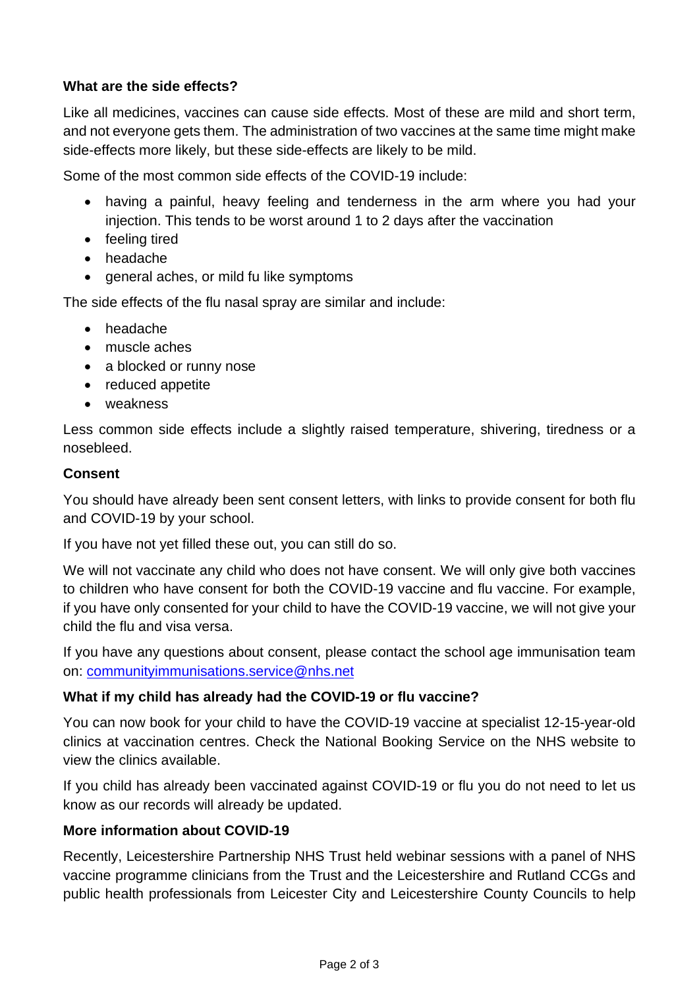## **What are the side effects?**

Like all medicines, vaccines can cause side effects. Most of these are mild and short term, and not everyone gets them. The administration of two vaccines at the same time might make side-effects more likely, but these side-effects are likely to be mild.

Some of the most common side effects of the COVID-19 include:

- having a painful, heavy feeling and tenderness in the arm where you had your injection. This tends to be worst around 1 to 2 days after the vaccination
- feeling tired
- headache
- general aches, or mild fu like symptoms

The side effects of the flu nasal spray are similar and include:

- headache
- muscle aches
- a blocked or runny nose
- reduced appetite
- weakness

Less common side effects include a slightly raised temperature, shivering, tiredness or a nosebleed.

#### **Consent**

You should have already been sent consent letters, with links to provide consent for both flu and COVID-19 by your school.

If you have not yet filled these out, you can still do so.

We will not vaccinate any child who does not have consent. We will only give both vaccines to children who have consent for both the COVID-19 vaccine and flu vaccine. For example, if you have only consented for your child to have the COVID-19 vaccine, we will not give your child the flu and visa versa.

If you have any questions about consent, please contact the school age immunisation team on: [communityimmunisations.service@nhs.net](mailto:communityimmunisations.service@nhs.net)

### **What if my child has already had the COVID-19 or flu vaccine?**

You can now book for your child to have the COVID-19 vaccine at specialist 12-15-year-old clinics at vaccination centres. Check the National Booking Service on the NHS website to view the clinics available.

If you child has already been vaccinated against COVID-19 or flu you do not need to let us know as our records will already be updated.

### **More information about COVID-19**

Recently, Leicestershire Partnership NHS Trust held webinar sessions with a panel of NHS vaccine programme clinicians from the Trust and the Leicestershire and Rutland CCGs and public health professionals from Leicester City and Leicestershire County Councils to help